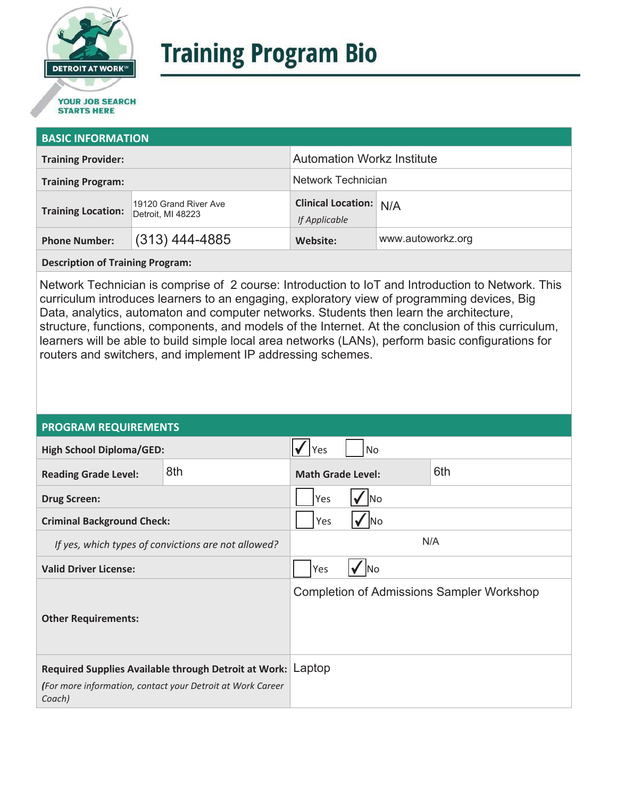

# **Training Program Bio**

## **STARTS HERE**

#### **BASIC INFORMATION**

| <b>Training Provider:</b> |                                            | <b>Automation Workz Institute</b>              |                   |  |
|---------------------------|--------------------------------------------|------------------------------------------------|-------------------|--|
| <b>Training Program:</b>  |                                            | <b>Network Technician</b>                      |                   |  |
| <b>Training Location:</b> | 19120 Grand River Ave<br>Detroit, MI 48223 | <b>Clinical Location:</b> N/A<br>If Applicable |                   |  |
| <b>Phone Number:</b>      | $(313)$ 444-4885                           | Website:                                       | www.autoworkz.org |  |

**Description of Training Program:** 

Network Technician is comprise of 2 course: Introduction to IoT and Introduction to Network. This curriculum introduces learners to an engaging, exploratory view of programming devices, Big Data, analytics, automaton and computer networks. Students then learn the architecture, structure, functions, components, and models of the Internet. At the conclusion of this curriculum, learners will be able to build simple local area networks (LANs), perform basic configurations for routers and switchers, and implement IP addressing schemes.

#### **PROGRAM REQUIREMENTS**

| <b>High School Diploma/GED:</b>                                                                                                     |     | Yes                             | <b>No</b>      |                                                  |
|-------------------------------------------------------------------------------------------------------------------------------------|-----|---------------------------------|----------------|--------------------------------------------------|
| <b>Reading Grade Level:</b>                                                                                                         | 8th | 6th<br><b>Math Grade Level:</b> |                |                                                  |
| <b>Drug Screen:</b>                                                                                                                 |     | Yes<br>No                       |                |                                                  |
| <b>Criminal Background Check:</b>                                                                                                   |     | Yes                             | N <sub>o</sub> |                                                  |
| If yes, which types of convictions are not allowed?                                                                                 |     | N/A                             |                |                                                  |
| <b>Valid Driver License:</b>                                                                                                        |     | Yes                             | ✔ INo          |                                                  |
| <b>Other Requirements:</b>                                                                                                          |     |                                 |                | <b>Completion of Admissions Sampler Workshop</b> |
| Required Supplies Available through Detroit at Work: Laptop<br>(For more information, contact your Detroit at Work Career<br>Coach) |     |                                 |                |                                                  |